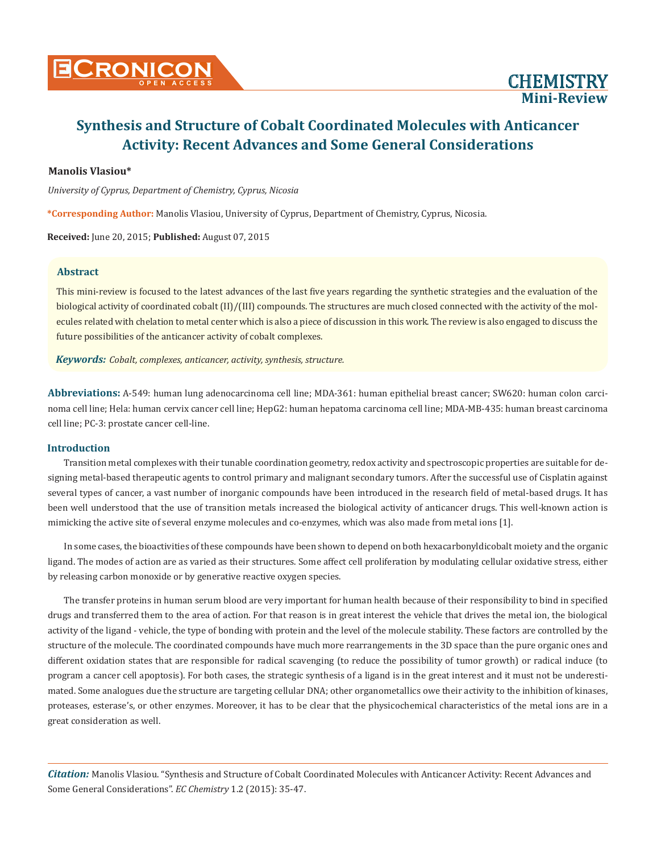# **Mini-Review**

## **Synthesis and Structure of Cobalt Coordinated Molecules with Anticancer Activity: Recent Advances and Some General Considerations**

## **Manolis Vlasiou\***

*University of Cyprus, Department of Chemistry, Cyprus, Nicosia*

**\*Corresponding Author:** Manolis Vlasiou, University of Cyprus, Department of Chemistry, Cyprus, Nicosia.

**Received:** June 20, 2015; **Published:** August 07, 2015

#### **Abstract**

This mini-review is focused to the latest advances of the last five years regarding the synthetic strategies and the evaluation of the biological activity of coordinated cobalt (II)/(III) compounds. The structures are much closed connected with the activity of the molecules related with chelation to metal center which is also a piece of discussion in this work. The review is also engaged to discuss the future possibilities of the anticancer activity of cobalt complexes.

*Keywords: Cobalt, complexes, anticancer, activity, synthesis, structure.*

**Abbreviations:** A-549: human lung adenocarcinoma cell line; MDA-361: human epithelial breast cancer; SW620: human colon carcinoma cell line; Hela: human cervix cancer cell line; HepG2: human hepatoma carcinoma cell line; MDA-MB-435: human breast carcinoma cell line; PC-3: prostate cancer cell-line.

#### **Introduction**

Transition metal complexes with their tunable coordination geometry, redox activity and spectroscopic properties are suitable for designing metal-based therapeutic agents to control primary and malignant secondary tumors. After the successful use of Cisplatin against several types of cancer, a vast number of inorganic compounds have been introduced in the research field of metal-based drugs. It has been well understood that the use of transition metals increased the biological activity of anticancer drugs. This well-known action is mimicking the active site of several enzyme molecules and co-enzymes, which was also made from metal ions [1].

In some cases, the bioactivities of these compounds have been shown to depend on both hexacarbonyldicobalt moiety and the organic ligand. The modes of action are as varied as their structures. Some affect cell proliferation by modulating cellular oxidative stress, either by releasing carbon monoxide or by generative reactive oxygen species.

The transfer proteins in human serum blood are very important for human health because of their responsibility to bind in specified drugs and transferred them to the area of action. For that reason is in great interest the vehicle that drives the metal ion, the biological activity of the ligand - vehicle, the type of bonding with protein and the level of the molecule stability. These factors are controlled by the structure of the molecule. The coordinated compounds have much more rearrangements in the 3D space than the pure organic ones and different oxidation states that are responsible for radical scavenging (to reduce the possibility of tumor growth) or radical induce (to program a cancer cell apoptosis). For both cases, the strategic synthesis of a ligand is in the great interest and it must not be underestimated. Some analogues due the structure are targeting cellular DNA; other organometallics owe their activity to the inhibition of kinases, proteases, esterase's, or other enzymes. Moreover, it has to be clear that the physicochemical characteristics of the metal ions are in a great consideration as well.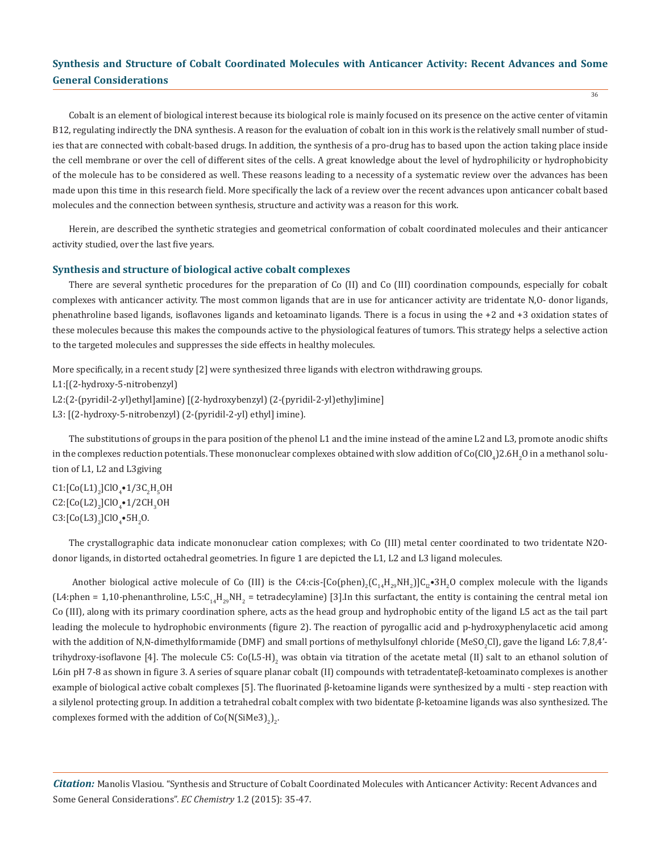36

Cobalt is an element of biological interest because its biological role is mainly focused on its presence on the active center of vitamin B12, regulating indirectly the DNA synthesis. A reason for the evaluation of cobalt ion in this work is the relatively small number of studies that are connected with cobalt-based drugs. In addition, the synthesis of a pro-drug has to based upon the action taking place inside the cell membrane or over the cell of different sites of the cells. A great knowledge about the level of hydrophilicity or hydrophobicity of the molecule has to be considered as well. These reasons leading to a necessity of a systematic review over the advances has been made upon this time in this research field. More specifically the lack of a review over the recent advances upon anticancer cobalt based molecules and the connection between synthesis, structure and activity was a reason for this work.

Herein, are described the synthetic strategies and geometrical conformation of cobalt coordinated molecules and their anticancer activity studied, over the last five years.

#### **Synthesis and structure of biological active cobalt complexes**

There are several synthetic procedures for the preparation of Co (II) and Co (III) coordination compounds, especially for cobalt complexes with anticancer activity. The most common ligands that are in use for anticancer activity are tridentate N,O- donor ligands, phenathroline based ligands, isoflavones ligands and ketoaminato ligands. There is a focus in using the +2 and +3 oxidation states of these molecules because this makes the compounds active to the physiological features of tumors. This strategy helps a selective action to the targeted molecules and suppresses the side effects in healthy molecules.

More specifically, in a recent study [2] were synthesized three ligands with electron withdrawing groups.

L1:[(2-hydroxy-5-nitrobenzyl)

L2:(2-(pyridil-2-yl)ethyl]amine) [(2-hydroxybenzyl) (2-(pyridil-2-yl)ethy]imine]

L3: [(2-hydroxy-5-nitrobenzyl) (2-(pyridil-2-yl) ethyl] imine).

The substitutions of groups in the para position of the phenol L1 and the imine instead of the amine L2 and L3, promote anodic shifts in the complexes reduction potentials. These mononuclear complexes obtained with slow addition of Co(ClO $_4$ )2.6H $_2$ O in a methanol solution of L1, L2 and L3giving

 $CI:[Co(L1)<sub>2</sub>]ClO<sub>4</sub>•1/3C<sub>2</sub>H<sub>5</sub>OH$  $C2:[Co(L2)<sub>2</sub>]ClO<sub>4</sub>•1/2CH<sub>3</sub>OH$  $C3$ :[Co(L3)<sub>2</sub>]ClO<sub>4</sub>•5H<sub>2</sub>O.

The crystallographic data indicate mononuclear cation complexes; with Co (III) metal center coordinated to two tridentate N2Odonor ligands, in distorted octahedral geometries. In figure 1 are depicted the L1, L2 and L3 ligand molecules.

Another biological active molecule of Co (III) is the C4:cis-[Co(phen)<sub>2</sub>(C<sub>14</sub>H<sub>29</sub>NH<sub>2</sub>)]C<sub>12</sub>•3H<sub>2</sub>O complex molecule with the ligands (L4:phen = 1,10-phenanthroline, L5:C<sub>14</sub>H<sub>29</sub>NH<sub>2</sub> = tetradecylamine) [3].In this surfactant, the entity is containing the central metal ion Co (III), along with its primary coordination sphere, acts as the head group and hydrophobic entity of the ligand L5 act as the tail part leading the molecule to hydrophobic environments (figure 2). The reaction of pyrogallic acid and p-hydroxyphenylacetic acid among with the addition of N,N-dimethylformamide (DMF) and small portions of methylsulfonyl chloride (MeSO<sub>2</sub>CI), gave the ligand L6: 7,8,4'trihydroxy-isoflavone [4]. The molecule C5: Co(L5-H)<sub>2</sub> was obtain via titration of the acetate metal (II) salt to an ethanol solution of L6in pH 7-8 as shown in figure 3. A series of square planar cobalt (II) compounds with tetradentateβ-ketoaminato complexes is another example of biological active cobalt complexes [5]. The fluorinated β-ketoamine ligands were synthesized by a multi - step reaction with a silylenol protecting group. In addition a tetrahedral cobalt complex with two bidentate β-ketoamine ligands was also synthesized. The complexes formed with the addition of  $Co(N(SiMe3)<sub>2</sub>)<sub>2</sub>$ .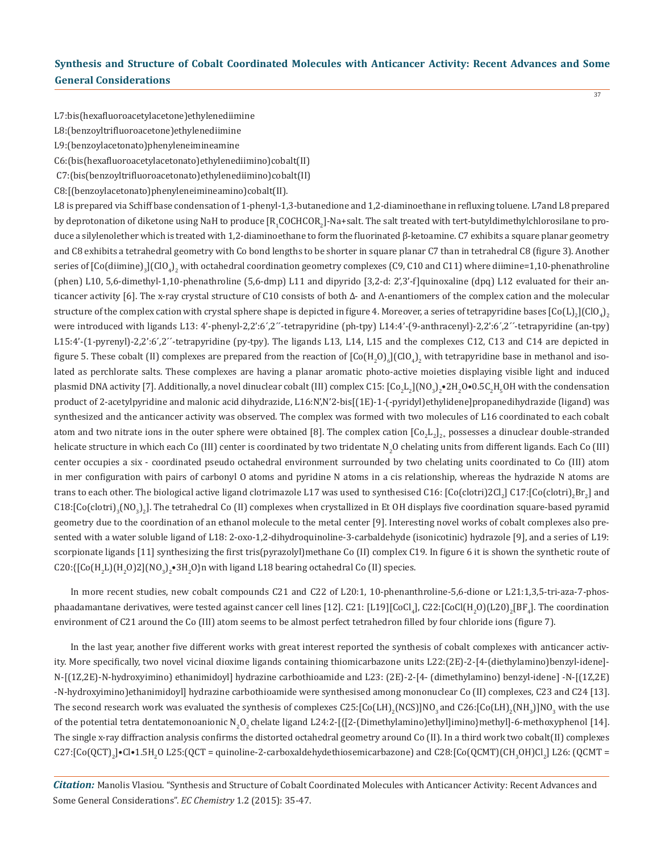37

L7:bis(hexafluoroacetylacetone)ethylenediimine

L8:(benzoyltrifluoroacetone)ethylenediimine

L9:(benzoylacetonato)phenyleneimineamine

C6:(bis(hexafluoroacetylacetonato)ethylenediimino)cobalt(II)

C7:(bis(benzoyltrifluoroacetonato)ethylenediimino)cobalt(II)

C8:[(benzoylacetonato)phenyleneimineamino)cobalt(II).

L8 is prepared via Schiff base condensation of 1-phenyl-1,3-butanedione and 1,2-diaminoethane in refluxing toluene. L7and L8 prepared by deprotonation of diketone using NaH to produce  $\rm [R_1 COCHCOR_2]$ -Na+salt. The salt treated with tert-butyldimethylchlorosilane to produce a silylenolether which is treated with 1,2-diaminoethane to form the fluorinated β-ketoamine. C7 exhibits a square planar geometry and C8 exhibits a tetrahedral geometry with Co bond lengths to be shorter in square planar C7 than in tetrahedral C8 (figure 3). Another series of [Co(diimine) $_3$ [(ClO $_4$ ) $_2$  with octahedral coordination geometry complexes (C9, C10 and C11) where diimine=1,10-phenathroline (phen) L10, 5,6-dimethyl-1,10-phenathroline (5,6-dmp) L11 and dipyrido [3,2-d: 2',3'-f]quinoxaline (dpq) L12 evaluated for their anticancer activity [6]. The x-ray crystal structure of C10 consists of both Δ- and Λ-enantiomers of the complex cation and the molecular structure of the complex cation with crystal sphere shape is depicted in figure 4. Moreover, a series of tetrapyridine bases  $\mathsf{[Co(L)}_2\mathsf{]~Cu}_4\mathsf{]}_2$ were introduced with ligands L13: 4'-phenyl-2,2':6´,2´´-tetrapyridine (ph-tpy) L14:4'-(9-anthracenyl)-2,2':6´,2´´-tetrapyridine (an-tpy) L15:4'-(1-pyrenyl)-2,2':6´,2´´-tetrapyridine (py-tpy). The ligands L13, L14, L15 and the complexes C12, C13 and C14 are depicted in figure 5. These cobalt (II) complexes are prepared from the reaction of  $\lfloor \text{Co}(\text{H}_2 \text{O})_6 \rfloor$ (ClO<sub>4</sub>)<sub>2</sub> with tetrapyridine base in methanol and isolated as perchlorate salts. These complexes are having a planar aromatic photo-active moieties displaying visible light and induced plasmid DNA activity [7]. Additionally, a novel dinuclear cobalt (III) complex C15: [Co<sub>2</sub>L<sub>2</sub>](NO<sub>3</sub>)<sub>2</sub>•2H<sub>2</sub>O•0.5C<sub>2</sub>H<sub>3</sub>OH with the condensation product of 2-acetylpyridine and malonic acid dihydrazide, L16:N',N'2-bis[(1E)-1-(-pyridyl)ethylidene]propanedihydrazide (ligand) was synthesized and the anticancer activity was observed. The complex was formed with two molecules of L16 coordinated to each cobalt atom and two nitrate ions in the outer sphere were obtained [8]. The complex cation  $[{\rm Co}_{2}{\rm L}_{2}]_2$ , possesses a dinuclear double-stranded helicate structure in which each Co (III) center is coordinated by two tridentate N<sub>2</sub>O chelating units from different ligands. Each Co (III) center occupies a six - coordinated pseudo octahedral environment surrounded by two chelating units coordinated to Co (III) atom in mer configuration with pairs of carbonyl O atoms and pyridine N atoms in a cis relationship, whereas the hydrazide N atoms are trans to each other. The biological active ligand clotrimazole L17 was used to synthesised C16: [Co(clotri)2Cl<sub>2</sub>] C17:[Co(clotri)<sub>2</sub>Br<sub>2</sub>] and  $\rm{C18:}$ [Co(clotri) $_{\rm 3}$ (NO $_{\rm 3}$ ),]. The tetrahedral Co (II) complexes when crystallized in Et OH displays five coordination square-based pyramid geometry due to the coordination of an ethanol molecule to the metal center [9]. Interesting novel works of cobalt complexes also presented with a water soluble ligand of L18: 2-oxo-1,2-dihydroquinoline-3-carbaldehyde (isonicotinic) hydrazole [9], and a series of L19: scorpionate ligands [11] synthesizing the first tris(pyrazolyl)methane Co (II) complex C19. In figure 6 it is shown the synthetic route of  $\text{C20:}\{\text{[Co(H}_2\text{L)}\text{[H}_2\text{O)}\text{2}\}(\text{NO}_3\text{)}_2\bullet$ 3H $_2$ O}n with ligand L18 bearing octahedral Co (II) species.

In more recent studies, new cobalt compounds C21 and C22 of L20:1, 10-phenanthroline-5,6-dione or L21:1,3,5-tri-aza-7-phosphaadamantane derivatives, were tested against cancer cell lines [12]. C21: [L19][CoCl<sub>4</sub>], C22:[CoCl(H<sub>2</sub>O)(L20)<sub>2</sub>[BF<sub>4</sub>]. The coordination environment of C21 around the Co (III) atom seems to be almost perfect tetrahedron filled by four chloride ions (figure 7).

In the last year, another five different works with great interest reported the synthesis of cobalt complexes with anticancer activity. More specifically, two novel vicinal dioxime ligands containing thiomicarbazone units L22:(2E)-2-[4-(diethylamino)benzyl-idene]- N-[(1Z,2E)-N-hydroxyimino) ethanimidoyl] hydrazine carbothioamide and L23: (2E)-2-[4- (dimethylamino) benzyl-idene] -N-[(1Z,2E) -N-hydroxyimino)ethanimidoyl] hydrazine carbothioamide were synthesised among mononuclear Co (II) complexes, C23 and C24 [13]. The second research work was evaluated the synthesis of complexes C25:[Co(LH)<sub>2</sub>(NCS)]NO<sub>3</sub> and C26:[Co(LH)<sub>2</sub>(NH<sub>3</sub>)]NO<sub>3</sub> with the use of the potential tetra dentatemonoanionic N<sub>2</sub>O<sub>2</sub> chelate ligand L24:2-[{[2-(Dimethylamino)ethyl]imino}methyl]-6-methoxyphenol [14]. The single x-ray diffraction analysis confirms the distorted octahedral geometry around Co (II). In a third work two cobalt(II) complexes  $C2^\prime$ :[Co(QCT)<sub>2</sub>]•Cl•1.5H<sub>2</sub>O L25:(QCT = quinoline-2-carboxaldehydethiosemicarbazone) and C28:[Co(QCMT)(CH<sub>3</sub>OH)Cl<sub>2</sub>] L26: (QCMT =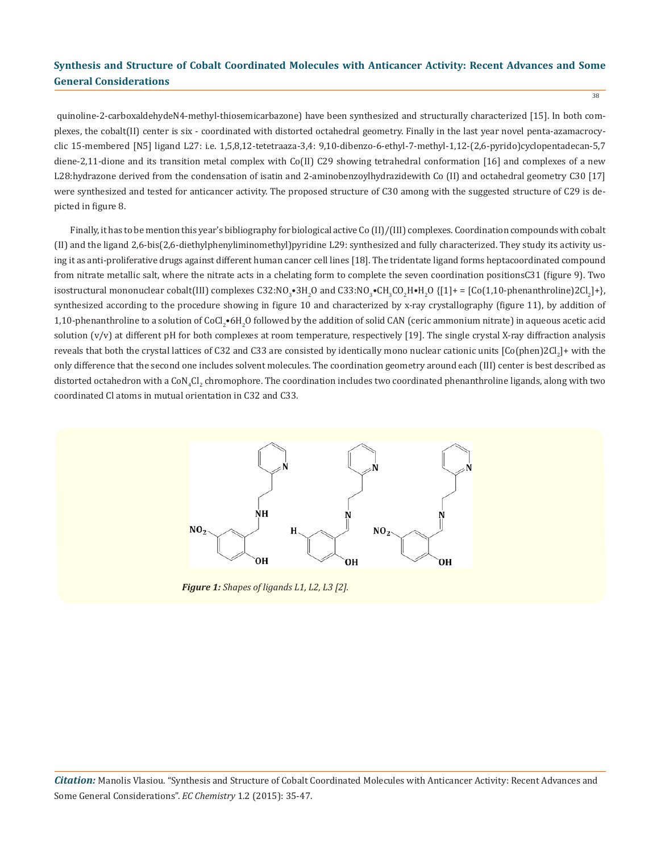quinoline-2-carboxaldehydeN4-methyl-thiosemicarbazone) have been synthesized and structurally characterized [15]. In both complexes, the cobalt(II) center is six - coordinated with distorted octahedral geometry. Finally in the last year novel penta-azamacrocyclic 15-membered [N5] ligand L27: i.e. 1,5,8,12-tetetraaza-3,4: 9,10-dibenzo-6-ethyl-7-methyl-1,12-(2,6-pyrido)cyclopentadecan-5,7 diene-2,11-dione and its transition metal complex with Co(II) C29 showing tetrahedral conformation [16] and complexes of a new L28:hydrazone derived from the condensation of isatin and 2-aminobenzoylhydrazidewith Co (II) and octahedral geometry C30 [17] were synthesized and tested for anticancer activity. The proposed structure of C30 among with the suggested structure of C29 is de-

Finally, it has to be mention this year's bibliography for biological active Co (II)/(III) complexes. Coordination compounds with cobalt (II) and the ligand 2,6-bis(2,6-diethylphenyliminomethyl)pyridine L29: synthesized and fully characterized. They study its activity using it as anti-proliferative drugs against different human cancer cell lines [18]. The tridentate ligand forms heptacoordinated compound from nitrate metallic salt, where the nitrate acts in a chelating form to complete the seven coordination positionsC31 (figure 9). Two isostructural mononuclear cobalt(III) complexes C32:NO<sub>3</sub>•3H<sub>2</sub>O and C33:NO<sub>3</sub>•CH<sub>3</sub>CO<sub>2</sub>H•H<sub>2</sub>O {[1]+ = [Co(1,10-phenanthroline)2Cl<sub>2</sub>J+}, synthesized according to the procedure showing in figure 10 and characterized by x-ray crystallography (figure 11), by addition of  $1,10$ -phenanthroline to a solution of CoCl $_2$ •6H $_2$ O followed by the addition of solid CAN (ceric ammonium nitrate) in aqueous acetic acid solution (v/v) at different pH for both complexes at room temperature, respectively [19]. The single crystal X-ray diffraction analysis reveals that both the crystal lattices of C32 and C33 are consisted by identically mono nuclear cationic units  $[{\rm Co(phen)ZCL}_{_2}]+$  with the only difference that the second one includes solvent molecules. The coordination geometry around each (III) center is best described as distorted octahedron with a CoN<sub>4</sub>Cl<sub>2</sub> chromophore. The coordination includes two coordinated phenanthroline ligands, along with two coordinated Cl atoms in mutual orientation in C32 and C33.



*Figure 1: Shapes of ligands L1, L2, L3 [2].*

picted in figure 8.

38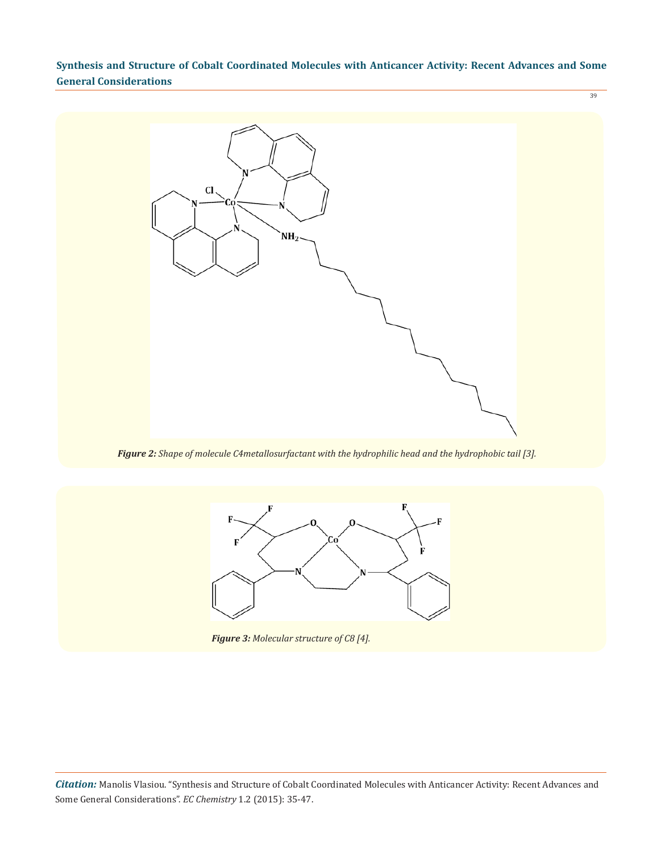39



*Figure 2: Shape of molecule C4metallosurfactant with the hydrophilic head and the hydrophobic tail [3].*



*Figure 3: Molecular structure of C8 [4].*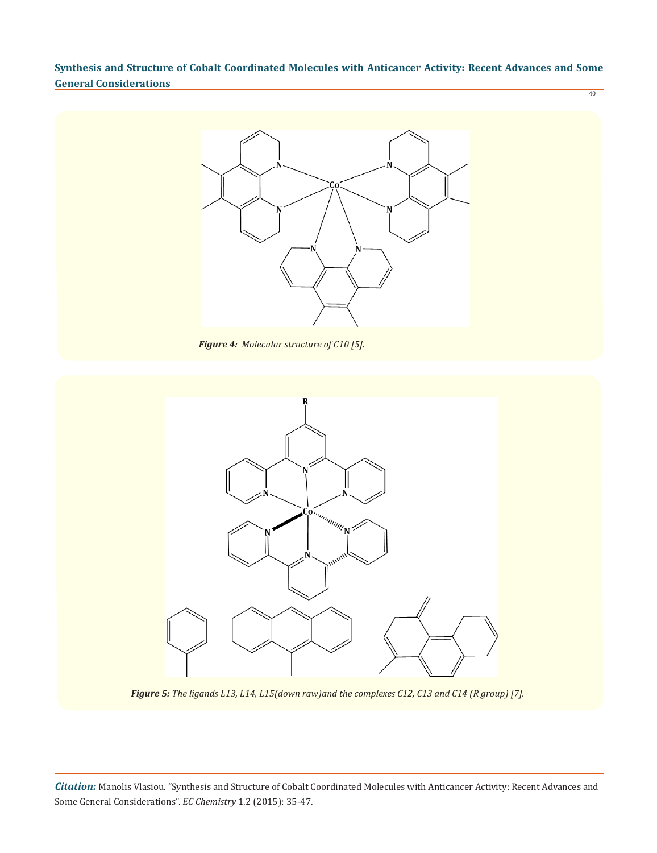

*Figure 4: Molecular structure of C10 [5].*



*Figure 5: The ligands L13, L14, L15(down raw)and the complexes C12, C13 and C14 (R group) [7].*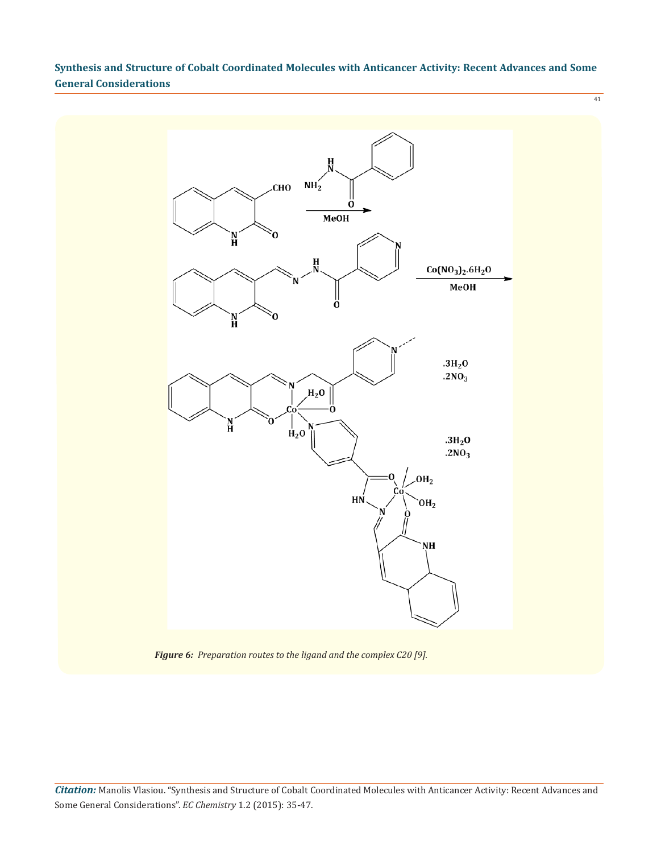41



*Figure 6: Preparation routes to the ligand and the complex C20 [9].*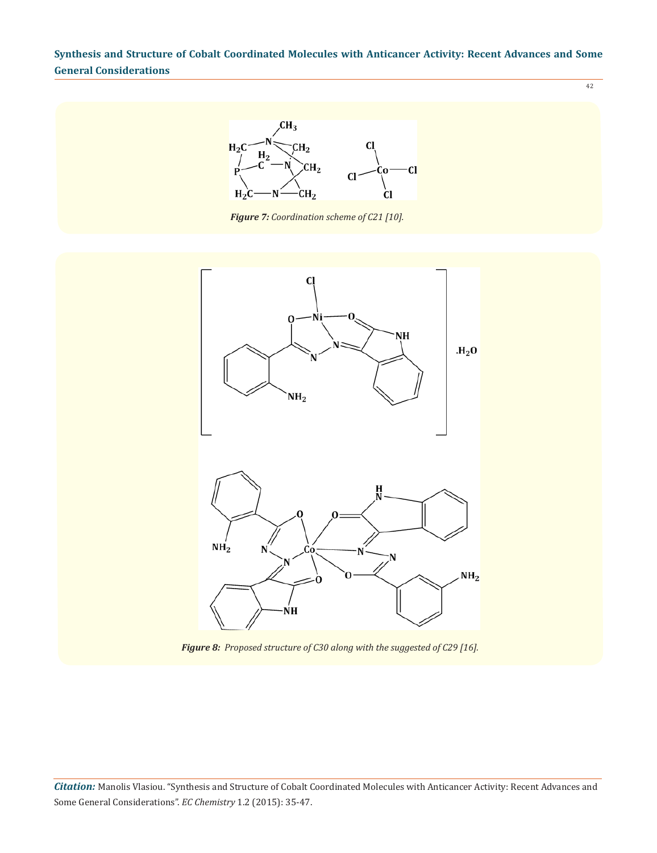42



*Figure 7: Coordination scheme of C21 [10].*



*Figure 8: Proposed structure of C30 along with the suggested of C29 [16].*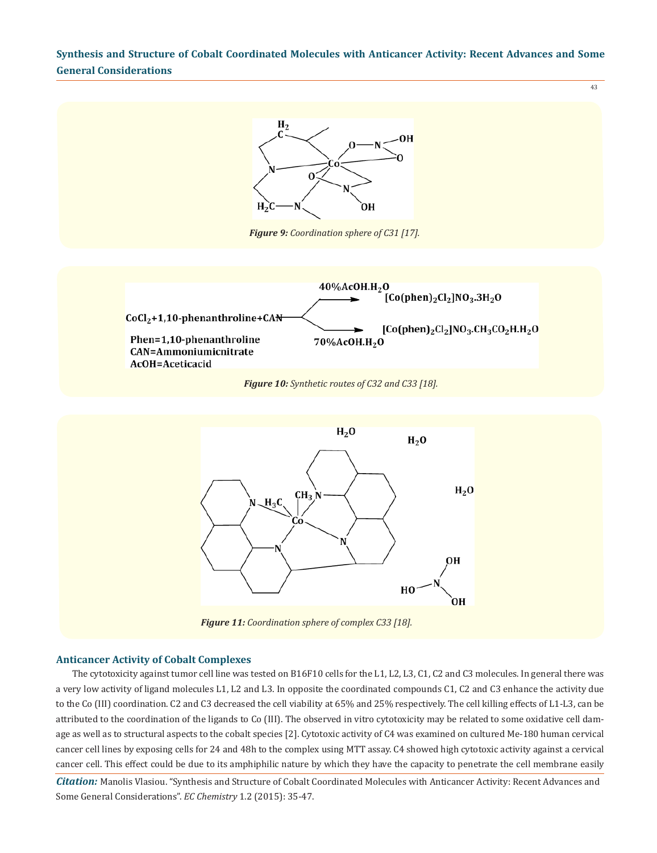

#### **Anticancer Activity of Cobalt Complexes**

The cytotoxicity against tumor cell line was tested on B16F10 cells for the L1, L2, L3, C1, C2 and C3 molecules. In general there was a very low activity of ligand molecules L1, L2 and L3. In opposite the coordinated compounds C1, C2 and C3 enhance the activity due to the Co (III) coordination. C2 and C3 decreased the cell viability at 65% and 25% respectively. The cell killing effects of L1-L3, can be attributed to the coordination of the ligands to Co (III). The observed in vitro cytotoxicity may be related to some oxidative cell damage as well as to structural aspects to the cobalt species [2]. Cytotoxic activity of C4 was examined on cultured Me-180 human cervical cancer cell lines by exposing cells for 24 and 48h to the complex using MTT assay. C4 showed high cytotoxic activity against a cervical cancer cell. This effect could be due to its amphiphilic nature by which they have the capacity to penetrate the cell membrane easily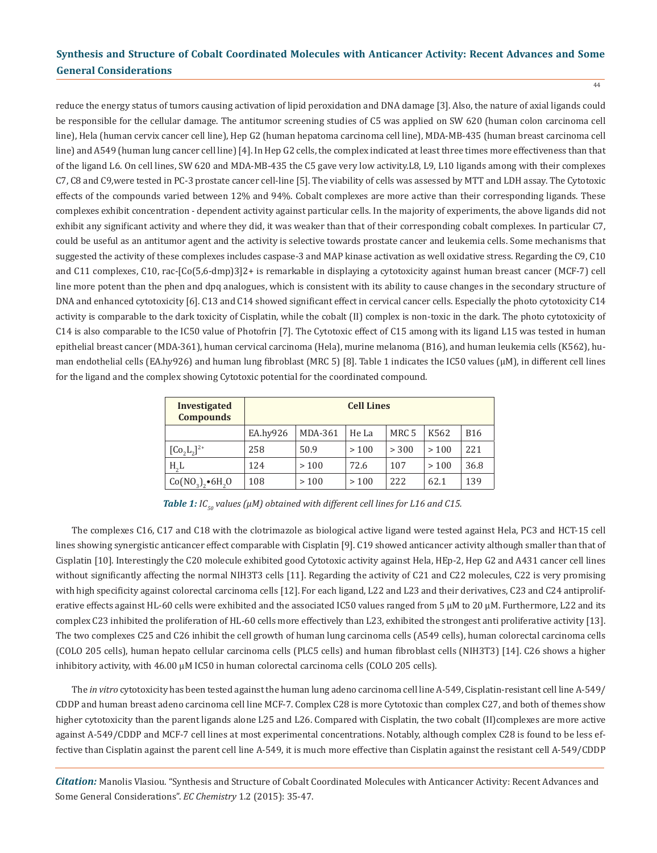44

reduce the energy status of tumors causing activation of lipid peroxidation and DNA damage [3]. Also, the nature of axial ligands could be responsible for the cellular damage. The antitumor screening studies of C5 was applied on SW 620 (human colon carcinoma cell line), Hela (human cervix cancer cell line), Hep G2 (human hepatoma carcinoma cell line), MDA-MB-435 (human breast carcinoma cell line) and A549 (human lung cancer cell line) [4]. In Hep G2 cells, the complex indicated at least three times more effectiveness than that of the ligand L6. On cell lines, SW 620 and MDA-MB-435 the C5 gave very low activity.L8, L9, L10 ligands among with their complexes C7, C8 and C9,were tested in PC-3 prostate cancer cell-line [5]. The viability of cells was assessed by MTT and LDH assay. The Cytotoxic effects of the compounds varied between 12% and 94%. Cobalt complexes are more active than their corresponding ligands. These complexes exhibit concentration - dependent activity against particular cells. In the majority of experiments, the above ligands did not exhibit any significant activity and where they did, it was weaker than that of their corresponding cobalt complexes. In particular C7, could be useful as an antitumor agent and the activity is selective towards prostate cancer and leukemia cells. Some mechanisms that suggested the activity of these complexes includes caspase-3 and MAP kinase activation as well oxidative stress. Regarding the C9, C10 and C11 complexes, C10, rac-[Co(5,6-dmp)3]2+ is remarkable in displaying a cytotoxicity against human breast cancer (MCF-7) cell line more potent than the phen and dpq analogues, which is consistent with its ability to cause changes in the secondary structure of DNA and enhanced cytotoxicity [6]. C13 and C14 showed significant effect in cervical cancer cells. Especially the photo cytotoxicity C14 activity is comparable to the dark toxicity of Cisplatin, while the cobalt (II) complex is non-toxic in the dark. The photo cytotoxicity of C14 is also comparable to the IC50 value of Photofrin [7]. The Cytotoxic effect of C15 among with its ligand L15 was tested in human epithelial breast cancer (MDA-361), human cervical carcinoma (Hela), murine melanoma (B16), and human leukemia cells (K562), human endothelial cells (EA.hy926) and human lung fibroblast (MRC 5) [8]. Table 1 indicates the IC50 values (μΜ), in different cell lines for the ligand and the complex showing Cytotoxic potential for the coordinated compound.

| <b>Investigated</b><br><b>Compounds</b> | <b>Cell Lines</b> |         |       |                  |      |            |  |  |
|-----------------------------------------|-------------------|---------|-------|------------------|------|------------|--|--|
|                                         | EA.hy926          | MDA-361 | He La | MRC <sub>5</sub> | K562 | <b>B16</b> |  |  |
| $[Co2 L2]2+$                            | 258               | 50.9    | >100  | > 300            | >100 | 221        |  |  |
| H <sub>2</sub> L                        | 124               | >100    | 72.6  | 107              | >100 | 36.8       |  |  |
| $Co(NO_3)$ , $6H_2O$                    | 108               | >100    | >100  | 222              | 62.1 | 139        |  |  |

*Table 1: IC<sub>50</sub>* values (μ*M*) obtained with different cell lines for L16 and C15.

The complexes C16, C17 and C18 with the clotrimazole as biological active ligand were tested against Hela, PC3 and HCT-15 cell lines showing synergistic anticancer effect comparable with Cisplatin [9]. C19 showed anticancer activity although smaller than that of Cisplatin [10]. Interestingly the C20 molecule exhibited good Cytotoxic activity against Hela, HEp-2, Hep G2 and A431 cancer cell lines without significantly affecting the normal NIH3T3 cells [11]. Regarding the activity of C21 and C22 molecules, C22 is very promising with high specificity against colorectal carcinoma cells [12]. For each ligand, L22 and L23 and their derivatives, C23 and C24 antiproliferative effects against HL-60 cells were exhibited and the associated IC50 values ranged from 5 μM to 20 μM. Furthermore, L22 and its complex C23 inhibited the proliferation of HL-60 cells more effectively than L23, exhibited the strongest anti proliferative activity [13]. The two complexes C25 and C26 inhibit the cell growth of human lung carcinoma cells (A549 cells), human colorectal carcinoma cells (COLO 205 cells), human hepato cellular carcinoma cells (PLC5 cells) and human fibroblast cells (NIH3T3) [14]. C26 shows a higher inhibitory activity, with 46.00 μM IC50 in human colorectal carcinoma cells (COLO 205 cells).

The *in vitro* cytotoxicity has been tested against the human lung adeno carcinoma cell line A-549, Cisplatin-resistant cell line A-549/ CDDP and human breast adeno carcinoma cell line MCF-7. Complex C28 is more Cytotoxic than complex C27, and both of themes show higher cytotoxicity than the parent ligands alone L25 and L26. Compared with Cisplatin, the two cobalt (II)complexes are more active against A-549/CDDP and MCF-7 cell lines at most experimental concentrations. Notably, although complex C28 is found to be less effective than Cisplatin against the parent cell line A-549, it is much more effective than Cisplatin against the resistant cell A-549/CDDP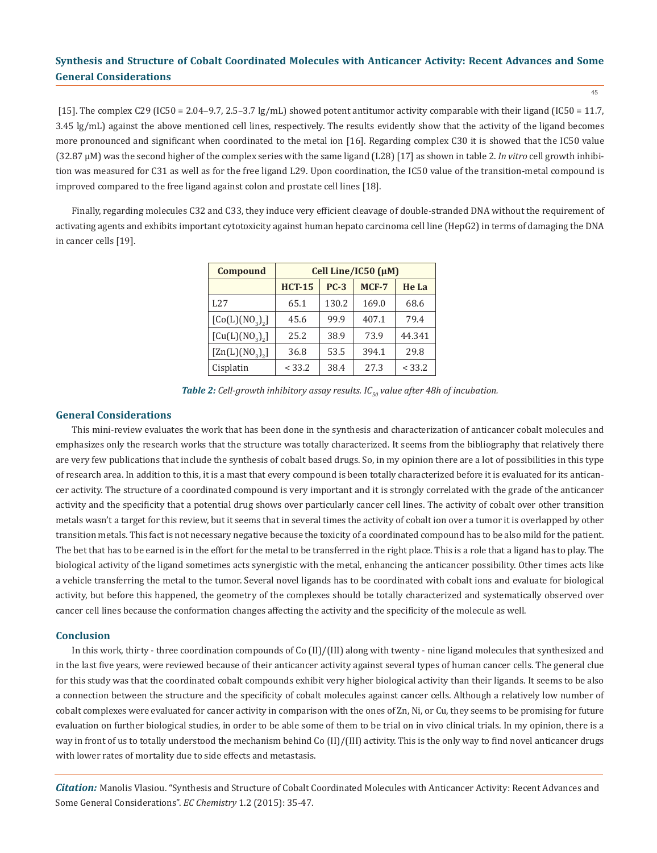[15]. The complex C29 (IC50 = 2.04-9.7, 2.5-3.7  $\lg/ml$ ) showed potent antitumor activity comparable with their ligand (IC50 = 11.7, 3.45 lg/mL) against the above mentioned cell lines, respectively. The results evidently show that the activity of the ligand becomes more pronounced and significant when coordinated to the metal ion [16]. Regarding complex C30 it is showed that the IC50 value (32.87 μΜ) was the second higher of the complex series with the same ligand (L28) [17] as shown in table 2. *In vitro* cell growth inhibition was measured for C31 as well as for the free ligand L29. Upon coordination, the IC50 value of the transition-metal compound is improved compared to the free ligand against colon and prostate cell lines [18].

Finally, regarding molecules C32 and C33, they induce very efficient cleavage of double-stranded DNA without the requirement of activating agents and exhibits important cytotoxicity against human hepato carcinoma cell line (HepG2) in terms of damaging the DNA in cancer cells [19].

| Compound                                | Cell Line/IC50 (µM) |        |       |        |  |  |  |
|-----------------------------------------|---------------------|--------|-------|--------|--|--|--|
|                                         | <b>HCT-15</b>       | $PC-3$ | MCF-7 | He La  |  |  |  |
| L27                                     | 65.1                | 130.2  | 169.0 | 68.6   |  |  |  |
| [Co(L)(NO <sub>3</sub> ) <sub>2</sub> ] | 45.6                | 99.9   | 407.1 | 79.4   |  |  |  |
| [Cu(L)(NO <sub>3</sub> ) <sub>2</sub> ] | 25.2                | 38.9   | 73.9  | 44.341 |  |  |  |
| [Zn(L)(NO <sub>3</sub> ) <sub>2</sub> ] | 36.8                | 53.5   | 394.1 | 29.8   |  |  |  |
| Cisplatin                               | < 33.2              | 38.4   | 27.3  | < 33.2 |  |  |  |

*Table 2: Cell-growth inhibitory assay results. IC<sub>50</sub> value after 48h of incubation.* 

#### **General Considerations**

This mini-review evaluates the work that has been done in the synthesis and characterization of anticancer cobalt molecules and emphasizes only the research works that the structure was totally characterized. It seems from the bibliography that relatively there are very few publications that include the synthesis of cobalt based drugs. So, in my opinion there are a lot of possibilities in this type of research area. In addition to this, it is a mast that every compound is been totally characterized before it is evaluated for its anticancer activity. The structure of a coordinated compound is very important and it is strongly correlated with the grade of the anticancer activity and the specificity that a potential drug shows over particularly cancer cell lines. The activity of cobalt over other transition metals wasn't a target for this review, but it seems that in several times the activity of cobalt ion over a tumor it is overlapped by other transition metals. This fact is not necessary negative because the toxicity of a coordinated compound has to be also mild for the patient. The bet that has to be earned is in the effort for the metal to be transferred in the right place. This is a role that a ligand has to play. The biological activity of the ligand sometimes acts synergistic with the metal, enhancing the anticancer possibility. Other times acts like a vehicle transferring the metal to the tumor. Several novel ligands has to be coordinated with cobalt ions and evaluate for biological activity, but before this happened, the geometry of the complexes should be totally characterized and systematically observed over cancer cell lines because the conformation changes affecting the activity and the specificity of the molecule as well.

#### **Conclusion**

In this work, thirty - three coordination compounds of Co (II)/(III) along with twenty - nine ligand molecules that synthesized and in the last five years, were reviewed because of their anticancer activity against several types of human cancer cells. The general clue for this study was that the coordinated cobalt compounds exhibit very higher biological activity than their ligands. It seems to be also a connection between the structure and the specificity of cobalt molecules against cancer cells. Although a relatively low number of cobalt complexes were evaluated for cancer activity in comparison with the ones of Zn, Ni, or Cu, they seems to be promising for future evaluation on further biological studies, in order to be able some of them to be trial on in vivo clinical trials. In my opinion, there is a way in front of us to totally understood the mechanism behind Co (II)/(III) activity. This is the only way to find novel anticancer drugs with lower rates of mortality due to side effects and metastasis.

*Citation:* Manolis Vlasiou. "Synthesis and Structure of Cobalt Coordinated Molecules with Anticancer Activity: Recent Advances and Some General Considerations". *EC Chemistry* 1.2 (2015): 35-47.

45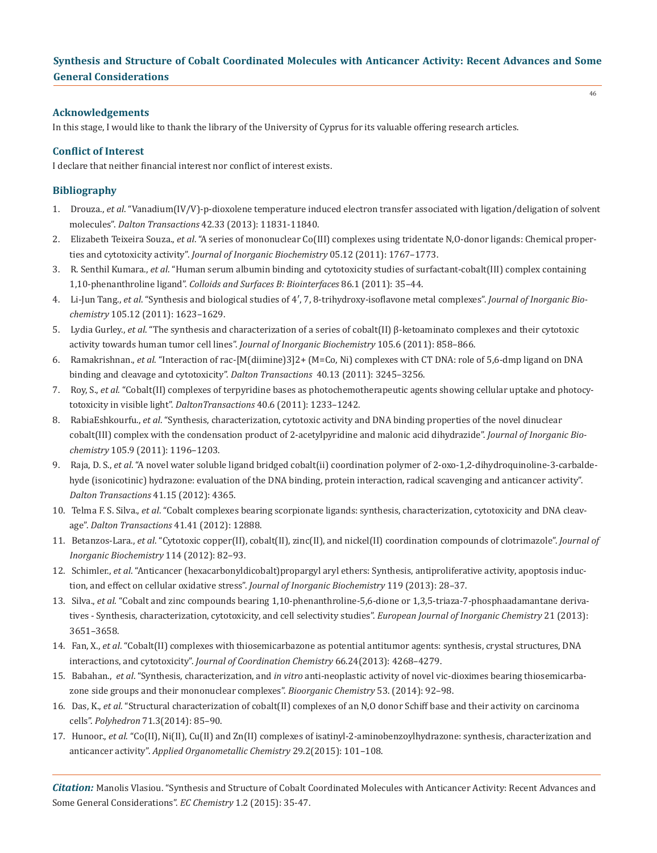## **Acknowledgements**

In this stage, I would like to thank the library of the University of Cyprus for its valuable offering research articles.

#### **Conflict of Interest**

I declare that neither financial interest nor conflict of interest exists.

## **Bibliography**

- 1. Drouza., *et al*. "Vanadium(IV/V)-p-dioxolene temperature induced electron transfer associated with ligation/deligation of solvent molecules". *Dalton Transactions* 42.33 (2013): 11831-11840.
- 2. Elizabeth Teixeira Souza., *et al*. "A series of mononuclear Co(III) complexes using tridentate N,O-donor ligands: Chemical proper ties and cytotoxicity activity". *Journal of Inorganic Biochemistry* 05.12 (2011): 1767–1773.
- 3. R. Senthil Kumara., *et al*. "Human serum albumin binding and cytotoxicity studies of surfactant-cobalt(III) complex containing 1,10-phenanthroline ligand". *Colloids and Surfaces B: Biointerfaces* 86.1 (2011): 35–44.
- 4. Li-Jun Tang., *et al*. "Synthesis and biological studies of 4′, 7, 8-trihydroxy-isoflavone metal complexes". *Journal of Inorganic Bio chemistry* 105.12 (2011): 1623–1629.
- 5. Lydia Gurley., *et al*. "The synthesis and characterization of a series of cobalt(II) β-ketoaminato complexes and their cytotoxic activity towards human tumor cell lines". *Journal of Inorganic Biochemistry* 105.6 (2011): 858–866.
- 6. Ramakrishnan., *et al*. "Interaction of rac-[M(diimine)3]2+ (M=Co, Ni) complexes with CT DNA: role of 5,6-dmp ligand on DNA binding and cleavage and cytotoxicity". *Dalton Transactions* 40.13 (2011): 3245–3256.
- 7. Roy, S., *et al.* "Cobalt(II) complexes of terpyridine bases as photochemotherapeutic agents showing cellular uptake and photocy totoxicity in visible light". *DaltonTransactions* 40.6 (2011): 1233–1242.
- 8. RabiaEshkourfu., *et al*. "Synthesis, characterization, cytotoxic activity and DNA binding properties of the novel dinuclear cobalt(III) complex with the condensation product of 2-acetylpyridine and malonic acid dihydrazide". *Journal of Inorganic Bio chemistry* 105.9 (2011): 1196–1203.
- 9. Raja, D. S., *et al*. "A novel water soluble ligand bridged cobalt(ii) coordination polymer of 2-oxo-1,2-dihydroquinoline-3-carbalde hyde (isonicotinic) hydrazone: evaluation of the DNA binding, protein interaction, radical scavenging and anticancer activity".  *Dalton Transactions* 41.15 (2012): 4365.
- 10. Telma F. S. Silva., *et al*. "Cobalt complexes bearing scorpionate ligands: synthesis, characterization, cytotoxicity and DNA cleav age". *Dalton Transactions* 41.41 (2012): 12888.
- 11. Betanzos-Lara., *et al*. "Cytotoxic copper(II), cobalt(II), zinc(II), and nickel(II) coordination compounds of clotrimazole". *Journal of Inorganic Biochemistry* 114 (2012): 82–93.
- 12. Schimler., *et al*. "Anticancer (hexacarbonyldicobalt)propargyl aryl ethers: Synthesis, antiproliferative activity, apoptosis induc tion, and effect on cellular oxidative stress". *Journal of Inorganic Biochemistry* 119 (2013): 28–37.
- 13. Silva., *et al*. "Cobalt and zinc compounds bearing 1,10-phenanthroline-5,6-dione or 1,3,5-triaza-7-phosphaadamantane deriva tives - Synthesis, characterization, cytotoxicity, and cell selectivity studies". *European Journal of Inorganic Chemistry* 21 (2013): 3651–3658.
- 14. Fan, X., *et al*. "Cobalt(II) complexes with thiosemicarbazone as potential antitumor agents: synthesis, crystal structures, DNA interactions, and cytotoxicity". *Journal of Coordination Chemistry* 66.24(2013): 4268–4279.
- 15. Babahan., *et al*. "Synthesis, characterization, and *in vitro* anti-neoplastic activity of novel vic-dioximes bearing thiosemicarba zone side groups and their mononuclear complexes". *Bioorganic Chemistry* 53. (2014): 92–98.
- 16. Das, K., *et al*. "Structural characterization of cobalt(II) complexes of an N,O donor Schiff base and their activity on carcinoma cells". *Polyhedron* 71.3(2014): 85–90.
- 17. Hunoor., *et al*. "Co(II), Ni(II), Cu(II) and Zn(II) complexes of isatinyl-2-aminobenzoylhydrazone: synthesis, characterization and anticancer activity". *Applied Organometallic Chemistry* 29.2(2015): 101–108.

*Citation:* Manolis Vlasiou. "Synthesis and Structure of Cobalt Coordinated Molecules with Anticancer Activity: Recent Advances and Some General Considerations". *EC Chemistry* 1.2 (2015): 35-47.

46